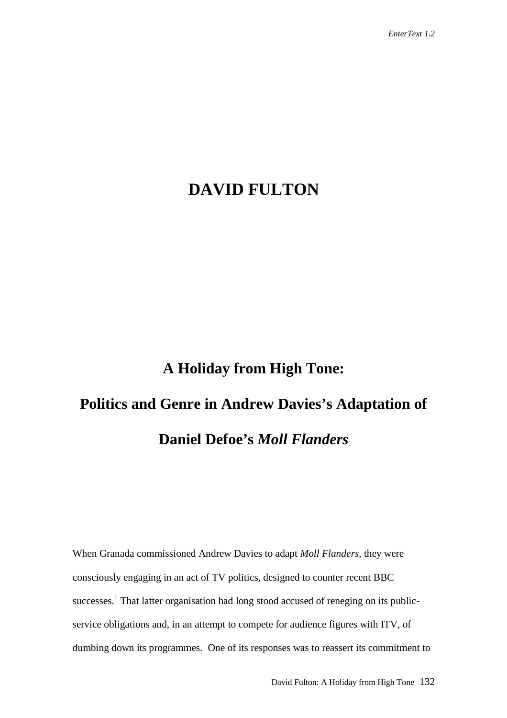## **DAVID FULTON**

## **A Holiday from High Tone:**

## **Politics and Genre in Andrew Davies's Adaptation of Daniel Defoe's** *Moll Flanders*

When Granada commissioned Andrew Davies to adapt *Moll Flanders*, they were consciously engaging in an act of TV politics, designed to counter recent BBC successes.<sup>1</sup> That latter organisation had long stood accused of reneging on its publicservice obligations and, in an attempt to compete for audience figures with ITV, of dumbing down its programmes. One of its responses was to reassert its commitment to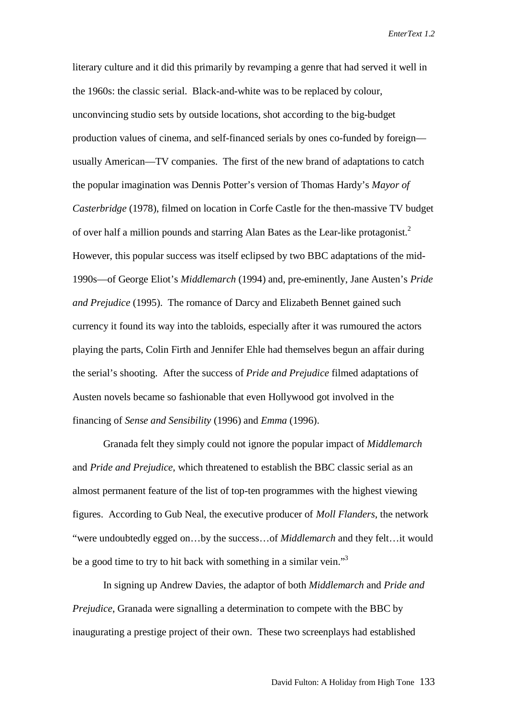literary culture and it did this primarily by revamping a genre that had served it well in the 1960s: the classic serial. Black-and-white was to be replaced by colour, unconvincing studio sets by outside locations, shot according to the big-budget production values of cinema, and self-financed serials by ones co-funded by foreign usually American—TV companies. The first of the new brand of adaptations to catch the popular imagination was Dennis Potter's version of Thomas Hardy's *Mayor of Casterbridge* (1978), filmed on location in Corfe Castle for the then-massive TV budget of over half a million pounds and starring Alan Bates as the Lear-like protagonist.<sup>2</sup> However, this popular success was itself eclipsed by two BBC adaptations of the mid-1990s—of George Eliot's *Middlemarch* (1994) and, pre-eminently, Jane Austen's *Pride and Prejudice* (1995). The romance of Darcy and Elizabeth Bennet gained such currency it found its way into the tabloids, especially after it was rumoured the actors playing the parts, Colin Firth and Jennifer Ehle had themselves begun an affair during the serial's shooting. After the success of *Pride and Prejudice* filmed adaptations of Austen novels became so fashionable that even Hollywood got involved in the financing of *Sense and Sensibility* (1996) and *Emma* (1996).

Granada felt they simply could not ignore the popular impact of *Middlemarch* and *Pride and Prejudice*, which threatened to establish the BBC classic serial as an almost permanent feature of the list of top-ten programmes with the highest viewing figures. According to Gub Neal, the executive producer of *Moll Flanders*, the network "were undoubtedly egged on…by the success…of *Middlemarch* and they felt…it would be a good time to try to hit back with something in a similar vein."<sup>3</sup>

In signing up Andrew Davies, the adaptor of both *Middlemarch* and *Pride and Prejudice*, Granada were signalling a determination to compete with the BBC by inaugurating a prestige project of their own. These two screenplays had established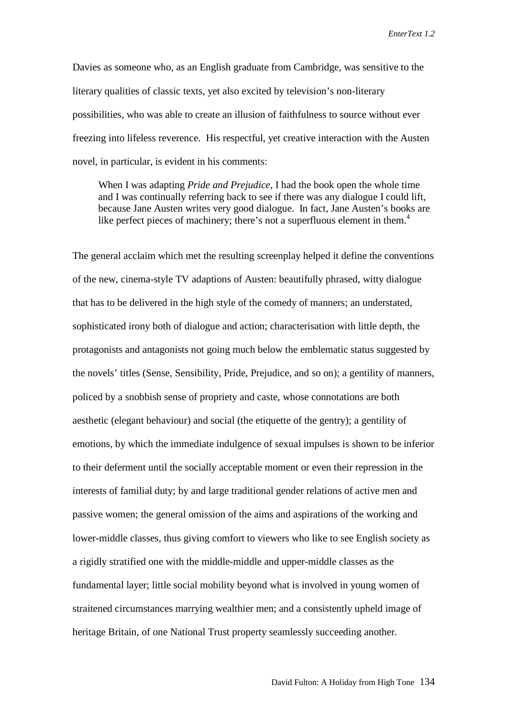Davies as someone who, as an English graduate from Cambridge, was sensitive to the literary qualities of classic texts, yet also excited by television's non-literary possibilities, who was able to create an illusion of faithfulness to source without ever freezing into lifeless reverence. His respectful, yet creative interaction with the Austen novel, in particular, is evident in his comments:

 When I was adapting *Pride and Prejudice*, I had the book open the whole time and I was continually referring back to see if there was any dialogue I could lift, because Jane Austen writes very good dialogue. In fact, Jane Austen's books are like perfect pieces of machinery; there's not a superfluous element in them.<sup>4</sup>

The general acclaim which met the resulting screenplay helped it define the conventions of the new, cinema-style TV adaptions of Austen: beautifully phrased, witty dialogue that has to be delivered in the high style of the comedy of manners; an understated, sophisticated irony both of dialogue and action; characterisation with little depth, the protagonists and antagonists not going much below the emblematic status suggested by the novels' titles (Sense, Sensibility, Pride, Prejudice, and so on); a gentility of manners, policed by a snobbish sense of propriety and caste, whose connotations are both aesthetic (elegant behaviour) and social (the etiquette of the gentry); a gentility of emotions, by which the immediate indulgence of sexual impulses is shown to be inferior to their deferment until the socially acceptable moment or even their repression in the interests of familial duty; by and large traditional gender relations of active men and passive women; the general omission of the aims and aspirations of the working and lower-middle classes, thus giving comfort to viewers who like to see English society as a rigidly stratified one with the middle-middle and upper-middle classes as the fundamental layer; little social mobility beyond what is involved in young women of straitened circumstances marrying wealthier men; and a consistently upheld image of heritage Britain, of one National Trust property seamlessly succeeding another.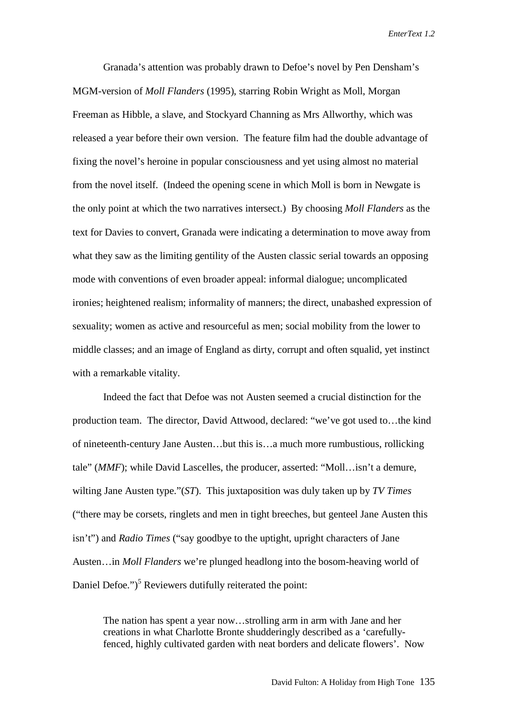Granada's attention was probably drawn to Defoe's novel by Pen Densham's MGM-version of *Moll Flanders* (1995), starring Robin Wright as Moll, Morgan Freeman as Hibble, a slave, and Stockyard Channing as Mrs Allworthy, which was released a year before their own version. The feature film had the double advantage of fixing the novel's heroine in popular consciousness and yet using almost no material from the novel itself. (Indeed the opening scene in which Moll is born in Newgate is the only point at which the two narratives intersect.) By choosing *Moll Flanders* as the text for Davies to convert, Granada were indicating a determination to move away from what they saw as the limiting gentility of the Austen classic serial towards an opposing mode with conventions of even broader appeal: informal dialogue; uncomplicated ironies; heightened realism; informality of manners; the direct, unabashed expression of sexuality; women as active and resourceful as men; social mobility from the lower to middle classes; and an image of England as dirty, corrupt and often squalid, yet instinct with a remarkable vitality.

Indeed the fact that Defoe was not Austen seemed a crucial distinction for the production team. The director, David Attwood, declared: "we've got used to…the kind of nineteenth-century Jane Austen…but this is…a much more rumbustious, rollicking tale" (*MMF*); while David Lascelles, the producer, asserted: "Moll…isn't a demure, wilting Jane Austen type."(*ST*). This juxtaposition was duly taken up by *TV Times* ("there may be corsets, ringlets and men in tight breeches, but genteel Jane Austen this isn't") and *Radio Times* ("say goodbye to the uptight, upright characters of Jane Austen…in *Moll Flanders* we're plunged headlong into the bosom-heaving world of Daniel Defoe.")<sup>5</sup> Reviewers dutifully reiterated the point:

The nation has spent a year now…strolling arm in arm with Jane and her creations in what Charlotte Bronte shudderingly described as a 'carefullyfenced, highly cultivated garden with neat borders and delicate flowers'. Now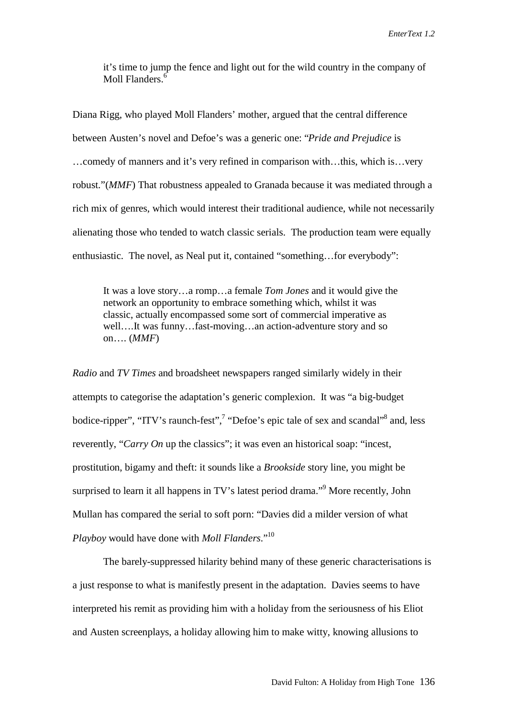it's time to jump the fence and light out for the wild country in the company of Moll Flanders.<sup>6</sup>

Diana Rigg, who played Moll Flanders' mother, argued that the central difference between Austen's novel and Defoe's was a generic one: "*Pride and Prejudice* is …comedy of manners and it's very refined in comparison with…this, which is…very robust."(*MMF*) That robustness appealed to Granada because it was mediated through a rich mix of genres, which would interest their traditional audience, while not necessarily alienating those who tended to watch classic serials. The production team were equally enthusiastic. The novel, as Neal put it, contained "something…for everybody":

It was a love story…a romp…a female *Tom Jones* and it would give the network an opportunity to embrace something which, whilst it was classic, actually encompassed some sort of commercial imperative as well….It was funny…fast-moving…an action-adventure story and so on…. (*MMF*)

*Radio* and *TV Times* and broadsheet newspapers ranged similarly widely in their attempts to categorise the adaptation's generic complexion. It was "a big-budget bodice-ripper", "ITV's raunch-fest",<sup>7</sup> "Defoe's epic tale of sex and scandal"<sup>8</sup> and, less reverently, "*Carry On* up the classics"; it was even an historical soap: "incest, prostitution, bigamy and theft: it sounds like a *Brookside* story line, you might be surprised to learn it all happens in TV's latest period drama."<sup>9</sup> More recently, John Mullan has compared the serial to soft porn: "Davies did a milder version of what *Playboy* would have done with *Moll Flanders*."10

The barely-suppressed hilarity behind many of these generic characterisations is a just response to what is manifestly present in the adaptation. Davies seems to have interpreted his remit as providing him with a holiday from the seriousness of his Eliot and Austen screenplays, a holiday allowing him to make witty, knowing allusions to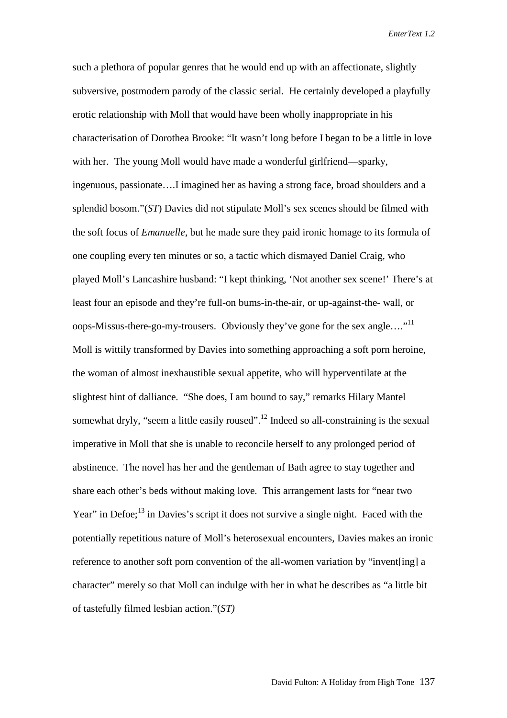such a plethora of popular genres that he would end up with an affectionate, slightly subversive, postmodern parody of the classic serial. He certainly developed a playfully erotic relationship with Moll that would have been wholly inappropriate in his characterisation of Dorothea Brooke: "It wasn't long before I began to be a little in love with her. The young Moll would have made a wonderful girlfriend—sparky, ingenuous, passionate….I imagined her as having a strong face, broad shoulders and a splendid bosom."(*ST*) Davies did not stipulate Moll's sex scenes should be filmed with the soft focus of *Emanuelle*, but he made sure they paid ironic homage to its formula of one coupling every ten minutes or so, a tactic which dismayed Daniel Craig, who played Moll's Lancashire husband: "I kept thinking, 'Not another sex scene!' There's at least four an episode and they're full-on bums-in-the-air, or up-against-the- wall, or oops-Missus-there-go-my-trousers. Obviously they've gone for the sex angle...."<sup>11</sup> Moll is wittily transformed by Davies into something approaching a soft porn heroine, the woman of almost inexhaustible sexual appetite, who will hyperventilate at the slightest hint of dalliance. "She does, I am bound to say," remarks Hilary Mantel somewhat dryly, "seem a little easily roused".<sup>12</sup> Indeed so all-constraining is the sexual imperative in Moll that she is unable to reconcile herself to any prolonged period of abstinence. The novel has her and the gentleman of Bath agree to stay together and share each other's beds without making love. This arrangement lasts for "near two Year" in Defoe;<sup>13</sup> in Davies's script it does not survive a single night. Faced with the potentially repetitious nature of Moll's heterosexual encounters, Davies makes an ironic reference to another soft porn convention of the all-women variation by "invent[ing] a character" merely so that Moll can indulge with her in what he describes as "a little bit of tastefully filmed lesbian action."(*ST)*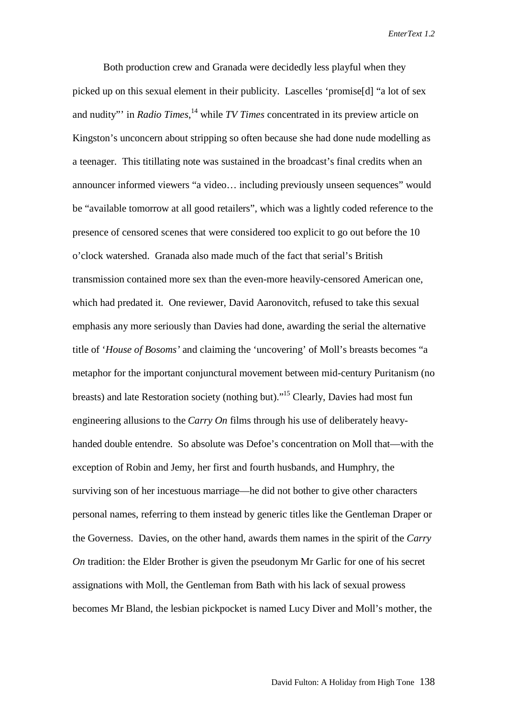Both production crew and Granada were decidedly less playful when they picked up on this sexual element in their publicity. Lascelles 'promise[d] "a lot of sex and nudity"' in *Radio Times*, 14 while *TV Times* concentrated in its preview article on Kingston's unconcern about stripping so often because she had done nude modelling as a teenager. This titillating note was sustained in the broadcast's final credits when an announcer informed viewers "a video… including previously unseen sequences" would be "available tomorrow at all good retailers", which was a lightly coded reference to the presence of censored scenes that were considered too explicit to go out before the 10 o'clock watershed. Granada also made much of the fact that serial's British transmission contained more sex than the even-more heavily-censored American one, which had predated it. One reviewer, David Aaronovitch, refused to take this sexual emphasis any more seriously than Davies had done, awarding the serial the alternative title of '*House of Bosoms'* and claiming the 'uncovering' of Moll's breasts becomes "a metaphor for the important conjunctural movement between mid-century Puritanism (no breasts) and late Restoration society (nothing but)."15 Clearly, Davies had most fun engineering allusions to the *Carry On* films through his use of deliberately heavyhanded double entendre. So absolute was Defoe's concentration on Moll that—with the exception of Robin and Jemy, her first and fourth husbands, and Humphry, the surviving son of her incestuous marriage—he did not bother to give other characters personal names, referring to them instead by generic titles like the Gentleman Draper or the Governess. Davies, on the other hand, awards them names in the spirit of the *Carry On* tradition: the Elder Brother is given the pseudonym Mr Garlic for one of his secret assignations with Moll, the Gentleman from Bath with his lack of sexual prowess becomes Mr Bland, the lesbian pickpocket is named Lucy Diver and Moll's mother, the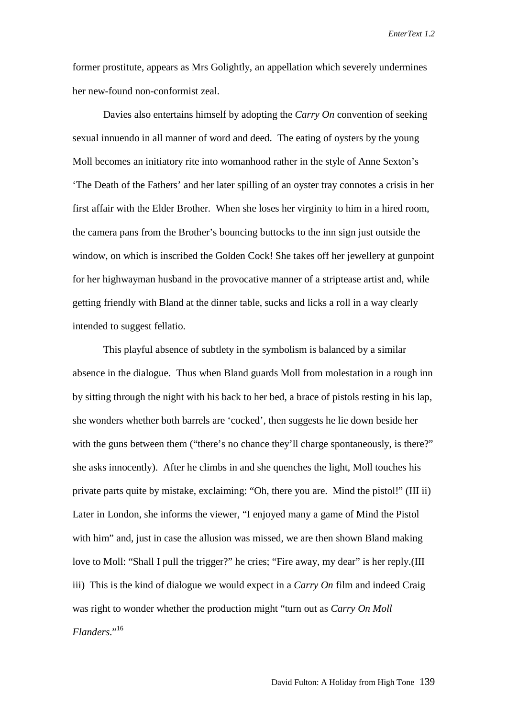former prostitute, appears as Mrs Golightly, an appellation which severely undermines her new-found non-conformist zeal.

Davies also entertains himself by adopting the *Carry On* convention of seeking sexual innuendo in all manner of word and deed. The eating of oysters by the young Moll becomes an initiatory rite into womanhood rather in the style of Anne Sexton's 'The Death of the Fathers' and her later spilling of an oyster tray connotes a crisis in her first affair with the Elder Brother. When she loses her virginity to him in a hired room, the camera pans from the Brother's bouncing buttocks to the inn sign just outside the window, on which is inscribed the Golden Cock! She takes off her jewellery at gunpoint for her highwayman husband in the provocative manner of a striptease artist and, while getting friendly with Bland at the dinner table, sucks and licks a roll in a way clearly intended to suggest fellatio.

This playful absence of subtlety in the symbolism is balanced by a similar absence in the dialogue. Thus when Bland guards Moll from molestation in a rough inn by sitting through the night with his back to her bed, a brace of pistols resting in his lap, she wonders whether both barrels are 'cocked', then suggests he lie down beside her with the guns between them ("there's no chance they'll charge spontaneously, is there?" she asks innocently). After he climbs in and she quenches the light, Moll touches his private parts quite by mistake, exclaiming: "Oh, there you are. Mind the pistol!" (III ii) Later in London, she informs the viewer, "I enjoyed many a game of Mind the Pistol with him" and, just in case the allusion was missed, we are then shown Bland making love to Moll: "Shall I pull the trigger?" he cries; "Fire away, my dear" is her reply.(III iii) This is the kind of dialogue we would expect in a *Carry On* film and indeed Craig was right to wonder whether the production might "turn out as *Carry On Moll Flanders*."<sup>16</sup>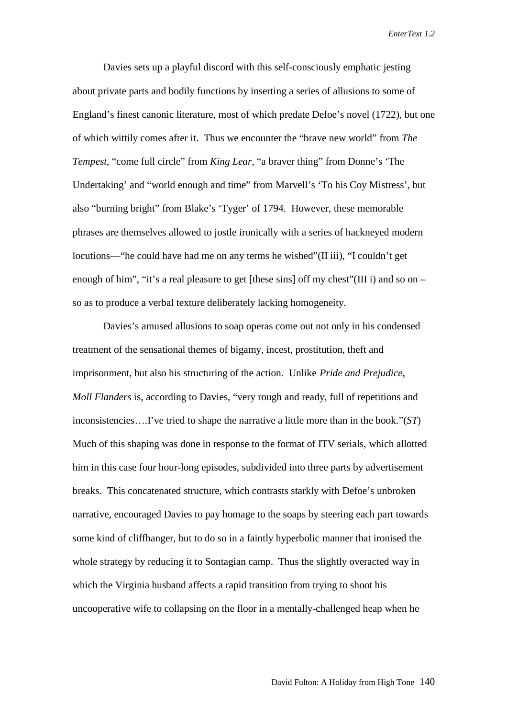Davies sets up a playful discord with this self-consciously emphatic jesting about private parts and bodily functions by inserting a series of allusions to some of England's finest canonic literature, most of which predate Defoe's novel (1722), but one of which wittily comes after it. Thus we encounter the "brave new world" from *The Tempest*, "come full circle" from *King Lear*, "a braver thing" from Donne's 'The Undertaking' and "world enough and time" from Marvell's 'To his Coy Mistress', but also "burning bright" from Blake's 'Tyger' of 1794. However, these memorable phrases are themselves allowed to jostle ironically with a series of hackneyed modern locutions—"he could have had me on any terms he wished"(II iii), "I couldn't get enough of him", "it's a real pleasure to get [these sins] off my chest" (III i) and so on – so as to produce a verbal texture deliberately lacking homogeneity.

Davies's amused allusions to soap operas come out not only in his condensed treatment of the sensational themes of bigamy, incest, prostitution, theft and imprisonment, but also his structuring of the action. Unlike *Pride and Prejudice*, *Moll Flanders* is, according to Davies, "very rough and ready, full of repetitions and inconsistencies….I've tried to shape the narrative a little more than in the book."(*ST*) Much of this shaping was done in response to the format of ITV serials, which allotted him in this case four hour-long episodes, subdivided into three parts by advertisement breaks. This concatenated structure, which contrasts starkly with Defoe's unbroken narrative, encouraged Davies to pay homage to the soaps by steering each part towards some kind of cliffhanger, but to do so in a faintly hyperbolic manner that ironised the whole strategy by reducing it to Sontagian camp. Thus the slightly overacted way in which the Virginia husband affects a rapid transition from trying to shoot his uncooperative wife to collapsing on the floor in a mentally-challenged heap when he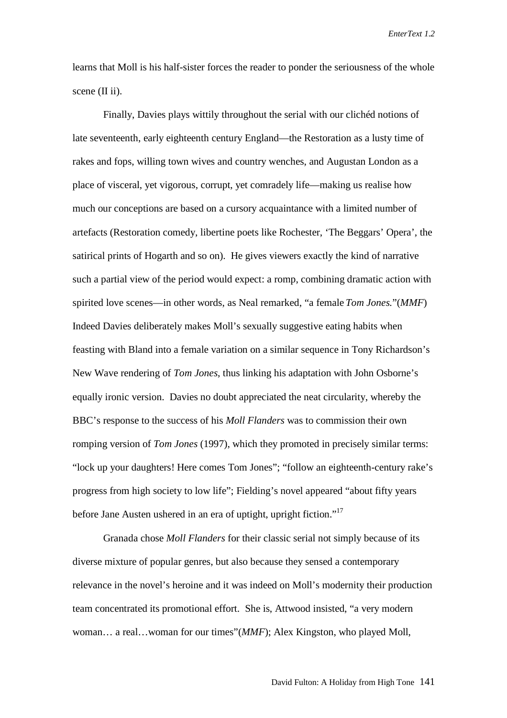learns that Moll is his half-sister forces the reader to ponder the seriousness of the whole scene  $(II ii)$ .

Finally, Davies plays wittily throughout the serial with our clichéd notions of late seventeenth, early eighteenth century England—the Restoration as a lusty time of rakes and fops, willing town wives and country wenches, and Augustan London as a place of visceral, yet vigorous, corrupt, yet comradely life—making us realise how much our conceptions are based on a cursory acquaintance with a limited number of artefacts (Restoration comedy, libertine poets like Rochester, 'The Beggars' Opera', the satirical prints of Hogarth and so on). He gives viewers exactly the kind of narrative such a partial view of the period would expect: a romp, combining dramatic action with spirited love scenes—in other words, as Neal remarked, "a female *Tom Jones.*"(*MMF*) Indeed Davies deliberately makes Moll's sexually suggestive eating habits when feasting with Bland into a female variation on a similar sequence in Tony Richardson's New Wave rendering of *Tom Jones*, thus linking his adaptation with John Osborne's equally ironic version. Davies no doubt appreciated the neat circularity, whereby the BBC's response to the success of his *Moll Flanders* was to commission their own romping version of *Tom Jones* (1997), which they promoted in precisely similar terms: "lock up your daughters! Here comes Tom Jones"; "follow an eighteenth-century rake's progress from high society to low life"; Fielding's novel appeared "about fifty years before Jane Austen ushered in an era of uptight, upright fiction."<sup>17</sup>

Granada chose *Moll Flanders* for their classic serial not simply because of its diverse mixture of popular genres, but also because they sensed a contemporary relevance in the novel's heroine and it was indeed on Moll's modernity their production team concentrated its promotional effort. She is, Attwood insisted, "a very modern woman… a real…woman for our times"(*MMF*); Alex Kingston, who played Moll,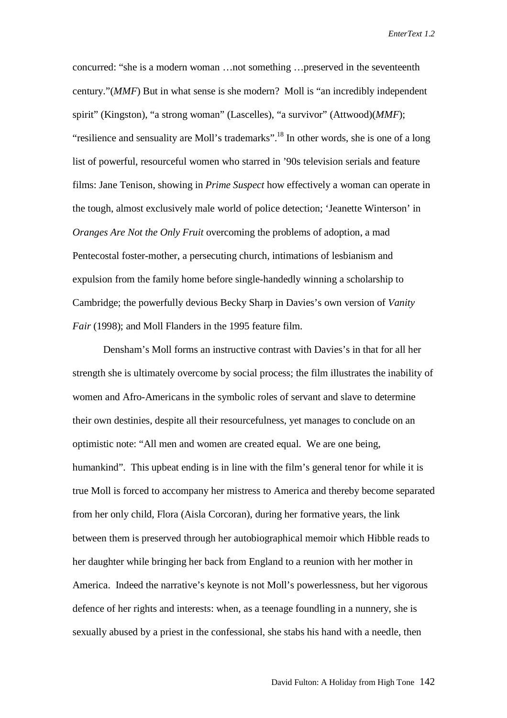concurred: "she is a modern woman …not something …preserved in the seventeenth century."(*MMF*) But in what sense is she modern? Moll is "an incredibly independent spirit" (Kingston), "a strong woman" (Lascelles), "a survivor" (Attwood)(*MMF*); "resilience and sensuality are Moll's trademarks".<sup>18</sup> In other words, she is one of a long list of powerful, resourceful women who starred in '90s television serials and feature films: Jane Tenison, showing in *Prime Suspect* how effectively a woman can operate in the tough, almost exclusively male world of police detection; 'Jeanette Winterson' in *Oranges Are Not the Only Fruit* overcoming the problems of adoption, a mad Pentecostal foster-mother, a persecuting church, intimations of lesbianism and expulsion from the family home before single-handedly winning a scholarship to Cambridge; the powerfully devious Becky Sharp in Davies's own version of *Vanity Fair* (1998); and Moll Flanders in the 1995 feature film.

Densham's Moll forms an instructive contrast with Davies's in that for all her strength she is ultimately overcome by social process; the film illustrates the inability of women and Afro-Americans in the symbolic roles of servant and slave to determine their own destinies, despite all their resourcefulness, yet manages to conclude on an optimistic note: "All men and women are created equal. We are one being, humankind". This upbeat ending is in line with the film's general tenor for while it is true Moll is forced to accompany her mistress to America and thereby become separated from her only child, Flora (Aisla Corcoran), during her formative years, the link between them is preserved through her autobiographical memoir which Hibble reads to her daughter while bringing her back from England to a reunion with her mother in America. Indeed the narrative's keynote is not Moll's powerlessness, but her vigorous defence of her rights and interests: when, as a teenage foundling in a nunnery, she is sexually abused by a priest in the confessional, she stabs his hand with a needle, then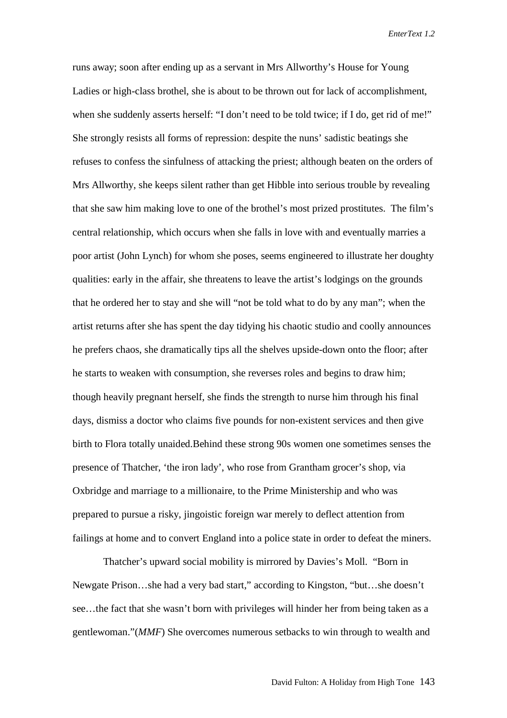runs away; soon after ending up as a servant in Mrs Allworthy's House for Young Ladies or high-class brothel, she is about to be thrown out for lack of accomplishment, when she suddenly asserts herself: "I don't need to be told twice; if I do, get rid of me!" She strongly resists all forms of repression: despite the nuns' sadistic beatings she refuses to confess the sinfulness of attacking the priest; although beaten on the orders of Mrs Allworthy, she keeps silent rather than get Hibble into serious trouble by revealing that she saw him making love to one of the brothel's most prized prostitutes. The film's central relationship, which occurs when she falls in love with and eventually marries a poor artist (John Lynch) for whom she poses, seems engineered to illustrate her doughty qualities: early in the affair, she threatens to leave the artist's lodgings on the grounds that he ordered her to stay and she will "not be told what to do by any man"; when the artist returns after she has spent the day tidying his chaotic studio and coolly announces he prefers chaos, she dramatically tips all the shelves upside-down onto the floor; after he starts to weaken with consumption, she reverses roles and begins to draw him; though heavily pregnant herself, she finds the strength to nurse him through his final days, dismiss a doctor who claims five pounds for non-existent services and then give birth to Flora totally unaided.Behind these strong 90s women one sometimes senses the presence of Thatcher, 'the iron lady', who rose from Grantham grocer's shop, via Oxbridge and marriage to a millionaire, to the Prime Ministership and who was prepared to pursue a risky, jingoistic foreign war merely to deflect attention from failings at home and to convert England into a police state in order to defeat the miners.

Thatcher's upward social mobility is mirrored by Davies's Moll. "Born in Newgate Prison…she had a very bad start," according to Kingston, "but…she doesn't see…the fact that she wasn't born with privileges will hinder her from being taken as a gentlewoman."(*MMF*) She overcomes numerous setbacks to win through to wealth and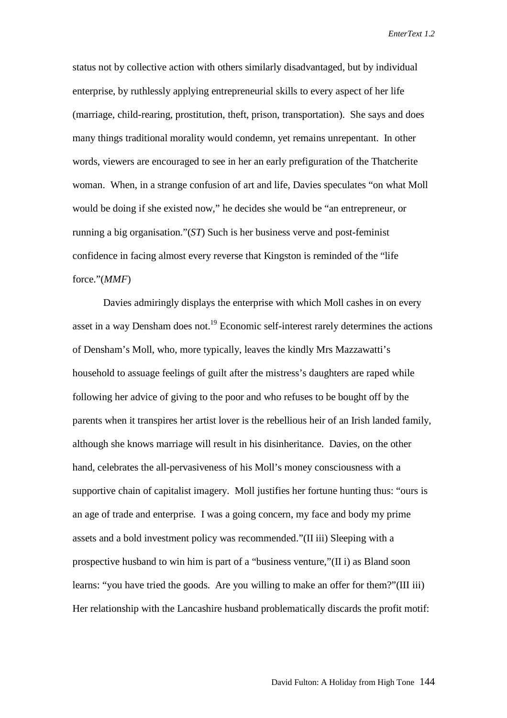status not by collective action with others similarly disadvantaged, but by individual enterprise, by ruthlessly applying entrepreneurial skills to every aspect of her life (marriage, child-rearing, prostitution, theft, prison, transportation). She says and does many things traditional morality would condemn, yet remains unrepentant. In other words, viewers are encouraged to see in her an early prefiguration of the Thatcherite woman. When, in a strange confusion of art and life, Davies speculates "on what Moll would be doing if she existed now," he decides she would be "an entrepreneur, or running a big organisation."(*ST*) Such is her business verve and post-feminist confidence in facing almost every reverse that Kingston is reminded of the "life force."(*MMF*)

Davies admiringly displays the enterprise with which Moll cashes in on every asset in a way Densham does not.<sup>19</sup> Economic self-interest rarely determines the actions of Densham's Moll, who, more typically, leaves the kindly Mrs Mazzawatti's household to assuage feelings of guilt after the mistress's daughters are raped while following her advice of giving to the poor and who refuses to be bought off by the parents when it transpires her artist lover is the rebellious heir of an Irish landed family, although she knows marriage will result in his disinheritance. Davies, on the other hand, celebrates the all-pervasiveness of his Moll's money consciousness with a supportive chain of capitalist imagery. Moll justifies her fortune hunting thus: "ours is an age of trade and enterprise. I was a going concern, my face and body my prime assets and a bold investment policy was recommended."(II iii) Sleeping with a prospective husband to win him is part of a "business venture,"(II i) as Bland soon learns: "you have tried the goods. Are you willing to make an offer for them?"(III iii) Her relationship with the Lancashire husband problematically discards the profit motif: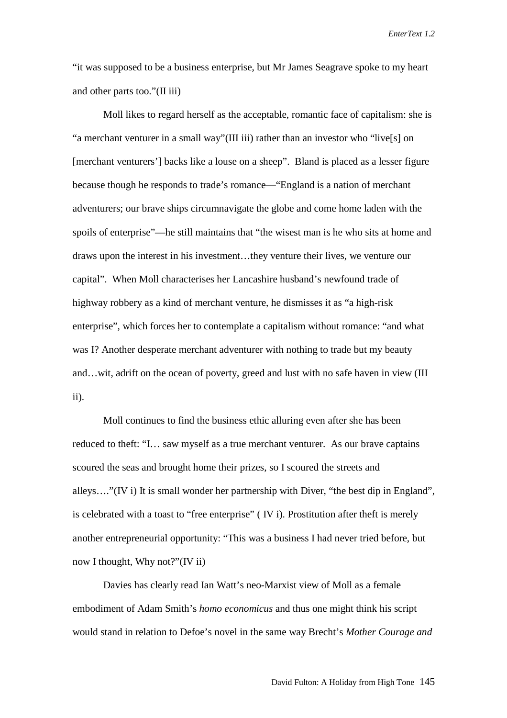"it was supposed to be a business enterprise, but Mr James Seagrave spoke to my heart and other parts too."(II iii)

Moll likes to regard herself as the acceptable, romantic face of capitalism: she is "a merchant venturer in a small way"(III iii) rather than an investor who "live[s] on [merchant venturers'] backs like a louse on a sheep". Bland is placed as a lesser figure because though he responds to trade's romance—"England is a nation of merchant adventurers; our brave ships circumnavigate the globe and come home laden with the spoils of enterprise"—he still maintains that "the wisest man is he who sits at home and draws upon the interest in his investment…they venture their lives, we venture our capital". When Moll characterises her Lancashire husband's newfound trade of highway robbery as a kind of merchant venture, he dismisses it as "a high-risk enterprise", which forces her to contemplate a capitalism without romance: "and what was I? Another desperate merchant adventurer with nothing to trade but my beauty and…wit, adrift on the ocean of poverty, greed and lust with no safe haven in view (III ii).

Moll continues to find the business ethic alluring even after she has been reduced to theft: "I… saw myself as a true merchant venturer. As our brave captains scoured the seas and brought home their prizes, so I scoured the streets and alleys…."(IV i) It is small wonder her partnership with Diver, "the best dip in England", is celebrated with a toast to "free enterprise" ( IV i). Prostitution after theft is merely another entrepreneurial opportunity: "This was a business I had never tried before, but now I thought, Why not?"(IV ii)

Davies has clearly read Ian Watt's neo-Marxist view of Moll as a female embodiment of Adam Smith's *homo economicus* and thus one might think his script would stand in relation to Defoe's novel in the same way Brecht's *Mother Courage and*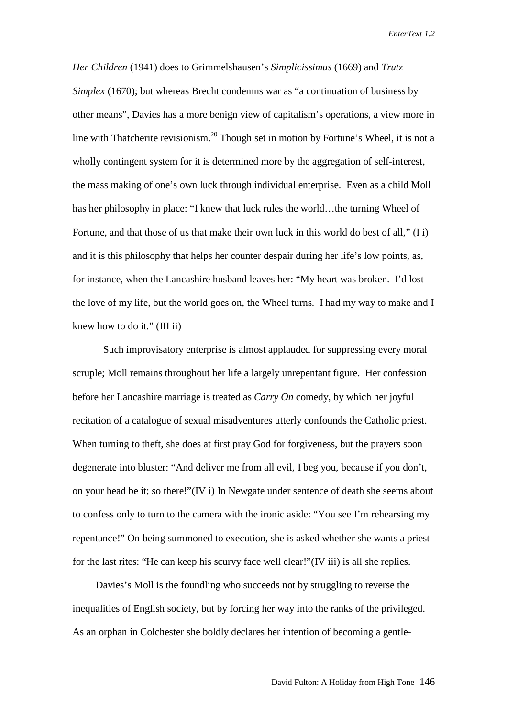*Her Children* (1941) does to Grimmelshausen's *Simplicissimus* (1669) and *Trutz Simplex* (1670); but whereas Brecht condemns war as "a continuation of business by other means", Davies has a more benign view of capitalism's operations, a view more in line with Thatcherite revisionism.<sup>20</sup> Though set in motion by Fortune's Wheel, it is not a wholly contingent system for it is determined more by the aggregation of self-interest, the mass making of one's own luck through individual enterprise. Even as a child Moll has her philosophy in place: "I knew that luck rules the world...the turning Wheel of Fortune, and that those of us that make their own luck in this world do best of all," (I i) and it is this philosophy that helps her counter despair during her life's low points, as, for instance, when the Lancashire husband leaves her: "My heart was broken. I'd lost the love of my life, but the world goes on, the Wheel turns. I had my way to make and I knew how to do it." (III ii)

Such improvisatory enterprise is almost applauded for suppressing every moral scruple; Moll remains throughout her life a largely unrepentant figure. Her confession before her Lancashire marriage is treated as *Carry On* comedy, by which her joyful recitation of a catalogue of sexual misadventures utterly confounds the Catholic priest. When turning to theft, she does at first pray God for forgiveness, but the prayers soon degenerate into bluster: "And deliver me from all evil, I beg you, because if you don't, on your head be it; so there!"(IV i) In Newgate under sentence of death she seems about to confess only to turn to the camera with the ironic aside: "You see I'm rehearsing my repentance!" On being summoned to execution, she is asked whether she wants a priest for the last rites: "He can keep his scurvy face well clear!"(IV iii) is all she replies.

 Davies's Moll is the foundling who succeeds not by struggling to reverse the inequalities of English society, but by forcing her way into the ranks of the privileged. As an orphan in Colchester she boldly declares her intention of becoming a gentle-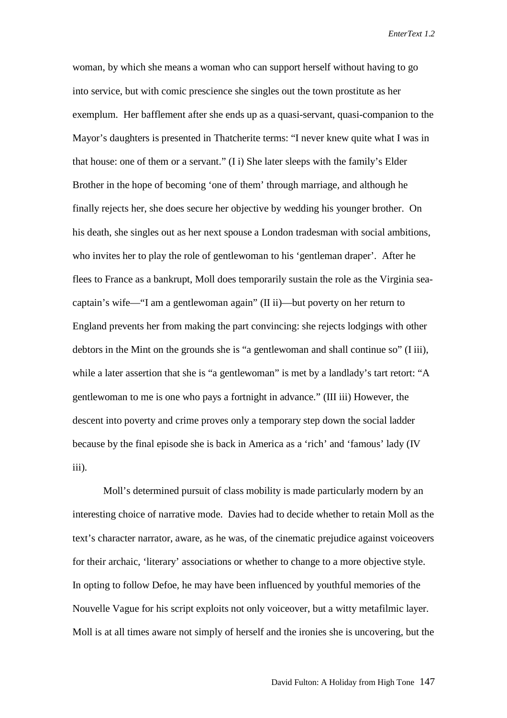woman, by which she means a woman who can support herself without having to go into service, but with comic prescience she singles out the town prostitute as her exemplum. Her bafflement after she ends up as a quasi-servant, quasi-companion to the Mayor's daughters is presented in Thatcherite terms: "I never knew quite what I was in that house: one of them or a servant." (I i) She later sleeps with the family's Elder Brother in the hope of becoming 'one of them' through marriage, and although he finally rejects her, she does secure her objective by wedding his younger brother. On his death, she singles out as her next spouse a London tradesman with social ambitions, who invites her to play the role of gentlewoman to his 'gentleman draper'. After he flees to France as a bankrupt, Moll does temporarily sustain the role as the Virginia seacaptain's wife—"I am a gentlewoman again" (II ii)—but poverty on her return to England prevents her from making the part convincing: she rejects lodgings with other debtors in the Mint on the grounds she is "a gentlewoman and shall continue so" (I iii), while a later assertion that she is "a gentlewoman" is met by a landlady's tart retort: "A gentlewoman to me is one who pays a fortnight in advance." (III iii) However, the descent into poverty and crime proves only a temporary step down the social ladder because by the final episode she is back in America as a 'rich' and 'famous' lady (IV iii).

Moll's determined pursuit of class mobility is made particularly modern by an interesting choice of narrative mode. Davies had to decide whether to retain Moll as the text's character narrator, aware, as he was, of the cinematic prejudice against voiceovers for their archaic, 'literary' associations or whether to change to a more objective style. In opting to follow Defoe, he may have been influenced by youthful memories of the Nouvelle Vague for his script exploits not only voiceover, but a witty metafilmic layer. Moll is at all times aware not simply of herself and the ironies she is uncovering, but the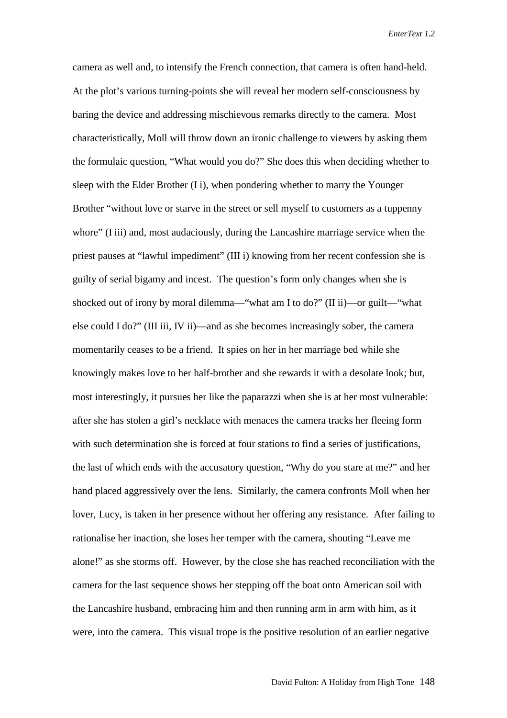camera as well and, to intensify the French connection, that camera is often hand-held. At the plot's various turning-points she will reveal her modern self-consciousness by baring the device and addressing mischievous remarks directly to the camera. Most characteristically, Moll will throw down an ironic challenge to viewers by asking them the formulaic question, "What would you do?" She does this when deciding whether to sleep with the Elder Brother (I i), when pondering whether to marry the Younger Brother "without love or starve in the street or sell myself to customers as a tuppenny whore" (I iii) and, most audaciously, during the Lancashire marriage service when the priest pauses at "lawful impediment" (III i) knowing from her recent confession she is guilty of serial bigamy and incest. The question's form only changes when she is shocked out of irony by moral dilemma—"what am I to do?" (II ii)—or guilt—"what else could I do?" (III iii, IV ii)—and as she becomes increasingly sober, the camera momentarily ceases to be a friend. It spies on her in her marriage bed while she knowingly makes love to her half-brother and she rewards it with a desolate look; but, most interestingly, it pursues her like the paparazzi when she is at her most vulnerable: after she has stolen a girl's necklace with menaces the camera tracks her fleeing form with such determination she is forced at four stations to find a series of justifications, the last of which ends with the accusatory question, "Why do you stare at me?" and her hand placed aggressively over the lens. Similarly, the camera confronts Moll when her lover, Lucy, is taken in her presence without her offering any resistance. After failing to rationalise her inaction, she loses her temper with the camera, shouting "Leave me alone!" as she storms off. However, by the close she has reached reconciliation with the camera for the last sequence shows her stepping off the boat onto American soil with the Lancashire husband, embracing him and then running arm in arm with him, as it were, into the camera. This visual trope is the positive resolution of an earlier negative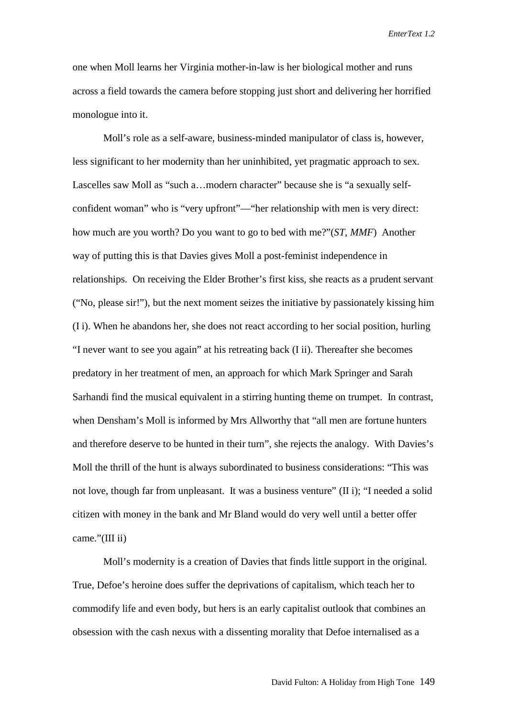one when Moll learns her Virginia mother-in-law is her biological mother and runs across a field towards the camera before stopping just short and delivering her horrified monologue into it.

Moll's role as a self-aware, business-minded manipulator of class is, however, less significant to her modernity than her uninhibited, yet pragmatic approach to sex. Lascelles saw Moll as "such a…modern character" because she is "a sexually selfconfident woman" who is "very upfront"—"her relationship with men is very direct: how much are you worth? Do you want to go to bed with me?"(*ST*, *MMF*) Another way of putting this is that Davies gives Moll a post-feminist independence in relationships. On receiving the Elder Brother's first kiss, she reacts as a prudent servant ("No, please sir!"), but the next moment seizes the initiative by passionately kissing him (I i). When he abandons her, she does not react according to her social position, hurling "I never want to see you again" at his retreating back (I ii). Thereafter she becomes predatory in her treatment of men, an approach for which Mark Springer and Sarah Sarhandi find the musical equivalent in a stirring hunting theme on trumpet. In contrast, when Densham's Moll is informed by Mrs Allworthy that "all men are fortune hunters and therefore deserve to be hunted in their turn", she rejects the analogy. With Davies's Moll the thrill of the hunt is always subordinated to business considerations: "This was not love, though far from unpleasant. It was a business venture" (II i); "I needed a solid citizen with money in the bank and Mr Bland would do very well until a better offer came."(III ii)

Moll's modernity is a creation of Davies that finds little support in the original. True, Defoe's heroine does suffer the deprivations of capitalism, which teach her to commodify life and even body, but hers is an early capitalist outlook that combines an obsession with the cash nexus with a dissenting morality that Defoe internalised as a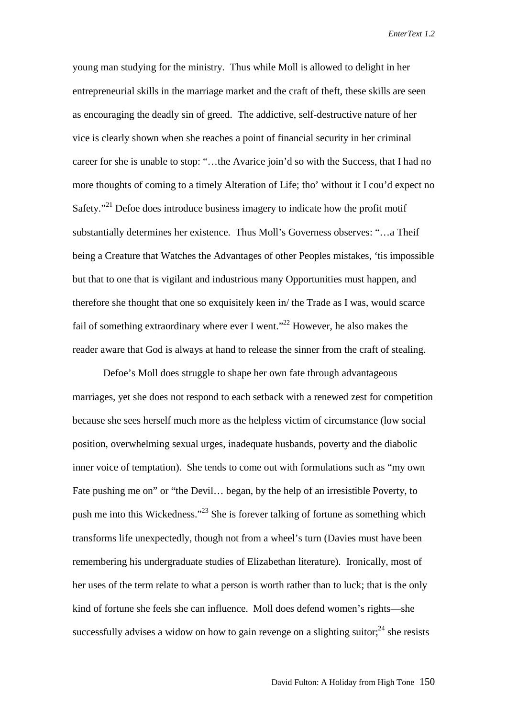young man studying for the ministry. Thus while Moll is allowed to delight in her entrepreneurial skills in the marriage market and the craft of theft, these skills are seen as encouraging the deadly sin of greed. The addictive, self-destructive nature of her vice is clearly shown when she reaches a point of financial security in her criminal career for she is unable to stop: "…the Avarice join'd so with the Success, that I had no more thoughts of coming to a timely Alteration of Life; tho' without it I cou'd expect no Safety."<sup>21</sup> Defoe does introduce business imagery to indicate how the profit motif substantially determines her existence. Thus Moll's Governess observes: "…a Theif being a Creature that Watches the Advantages of other Peoples mistakes, 'tis impossible but that to one that is vigilant and industrious many Opportunities must happen, and therefore she thought that one so exquisitely keen in/ the Trade as I was, would scarce fail of something extraordinary where ever I went.<sup> $22$ </sup> However, he also makes the reader aware that God is always at hand to release the sinner from the craft of stealing.

Defoe's Moll does struggle to shape her own fate through advantageous marriages, yet she does not respond to each setback with a renewed zest for competition because she sees herself much more as the helpless victim of circumstance (low social position, overwhelming sexual urges, inadequate husbands, poverty and the diabolic inner voice of temptation). She tends to come out with formulations such as "my own Fate pushing me on" or "the Devil… began, by the help of an irresistible Poverty, to push me into this Wickedness."23 She is forever talking of fortune as something which transforms life unexpectedly, though not from a wheel's turn (Davies must have been remembering his undergraduate studies of Elizabethan literature). Ironically, most of her uses of the term relate to what a person is worth rather than to luck; that is the only kind of fortune she feels she can influence. Moll does defend women's rights—she successfully advises a widow on how to gain revenge on a slighting suitor;  $24$  she resists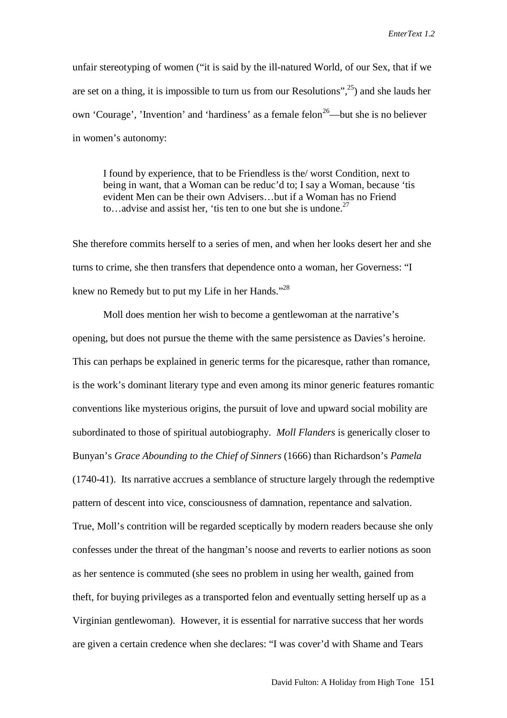unfair stereotyping of women ("it is said by the ill-natured World, of our Sex, that if we are set on a thing, it is impossible to turn us from our Resolutions",<sup>25</sup>) and she lauds her own 'Courage', 'Invention' and 'hardiness' as a female felon<sup>26</sup>—but she is no believer in women's autonomy:

I found by experience, that to be Friendless is the/ worst Condition, next to being in want, that a Woman can be reduc'd to; I say a Woman, because 'tis evident Men can be their own Advisers…but if a Woman has no Friend to...advise and assist her, 'tis ten to one but she is undone. $27$ 

She therefore commits herself to a series of men, and when her looks desert her and she turns to crime, she then transfers that dependence onto a woman, her Governess: "I knew no Remedy but to put my Life in her Hands."<sup>28</sup>

Moll does mention her wish to become a gentlewoman at the narrative's opening, but does not pursue the theme with the same persistence as Davies's heroine. This can perhaps be explained in generic terms for the picaresque, rather than romance, is the work's dominant literary type and even among its minor generic features romantic conventions like mysterious origins, the pursuit of love and upward social mobility are subordinated to those of spiritual autobiography. *Moll Flanders* is generically closer to Bunyan's *Grace Abounding to the Chief of Sinners* (1666) than Richardson's *Pamela* (1740-41). Its narrative accrues a semblance of structure largely through the redemptive pattern of descent into vice, consciousness of damnation, repentance and salvation. True, Moll's contrition will be regarded sceptically by modern readers because she only confesses under the threat of the hangman's noose and reverts to earlier notions as soon as her sentence is commuted (she sees no problem in using her wealth, gained from theft, for buying privileges as a transported felon and eventually setting herself up as a Virginian gentlewoman). However, it is essential for narrative success that her words are given a certain credence when she declares: "I was cover'd with Shame and Tears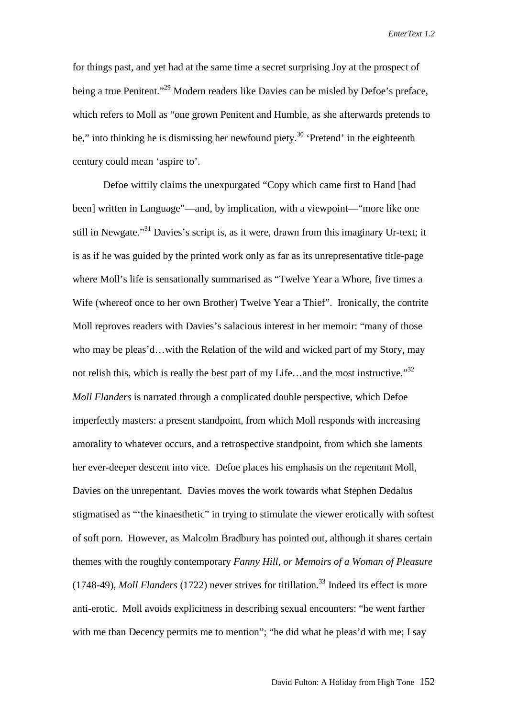for things past, and yet had at the same time a secret surprising Joy at the prospect of being a true Penitent."<sup>29</sup> Modern readers like Davies can be misled by Defoe's preface, which refers to Moll as "one grown Penitent and Humble, as she afterwards pretends to be," into thinking he is dismissing her newfound piety.<sup>30</sup> 'Pretend' in the eighteenth century could mean 'aspire to'.

Defoe wittily claims the unexpurgated "Copy which came first to Hand [had been] written in Language"—and, by implication, with a viewpoint—"more like one still in Newgate."<sup>31</sup> Davies's script is, as it were, drawn from this imaginary Ur-text; it is as if he was guided by the printed work only as far as its unrepresentative title-page where Moll's life is sensationally summarised as "Twelve Year a Whore, five times a Wife (whereof once to her own Brother) Twelve Year a Thief". Ironically, the contrite Moll reproves readers with Davies's salacious interest in her memoir: "many of those who may be pleas'd…with the Relation of the wild and wicked part of my Story, may not relish this, which is really the best part of my Life...and the most instructive." $32$ *Moll Flanders* is narrated through a complicated double perspective, which Defoe imperfectly masters: a present standpoint, from which Moll responds with increasing amorality to whatever occurs, and a retrospective standpoint, from which she laments her ever-deeper descent into vice. Defoe places his emphasis on the repentant Moll, Davies on the unrepentant. Davies moves the work towards what Stephen Dedalus stigmatised as "'the kinaesthetic" in trying to stimulate the viewer erotically with softest of soft porn. However, as Malcolm Bradbury has pointed out, although it shares certain themes with the roughly contemporary *Fanny Hill, or Memoirs of a Woman of Pleasure* (1748-49), *Moll Flanders* (1722) never strives for titillation.33 Indeed its effect is more anti-erotic. Moll avoids explicitness in describing sexual encounters: "he went farther with me than Decency permits me to mention"; "he did what he pleas'd with me; I say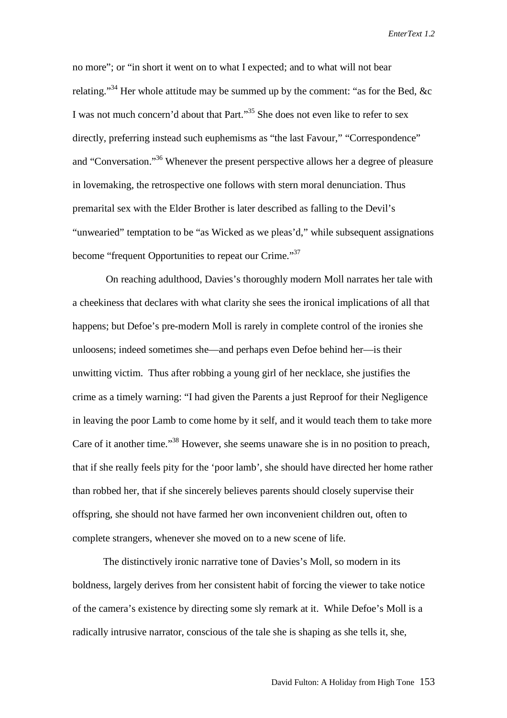no more"; or "in short it went on to what I expected; and to what will not bear relating."<sup>34</sup> Her whole attitude may be summed up by the comment: "as for the Bed, &c I was not much concern'd about that Part."<sup>35</sup> She does not even like to refer to sex directly, preferring instead such euphemisms as "the last Favour," "Correspondence" and "Conversation."<sup>36</sup> Whenever the present perspective allows her a degree of pleasure in lovemaking, the retrospective one follows with stern moral denunciation. Thus premarital sex with the Elder Brother is later described as falling to the Devil's "unwearied" temptation to be "as Wicked as we pleas'd," while subsequent assignations become "frequent Opportunities to repeat our Crime."<sup>37</sup>

 On reaching adulthood, Davies's thoroughly modern Moll narrates her tale with a cheekiness that declares with what clarity she sees the ironical implications of all that happens; but Defoe's pre-modern Moll is rarely in complete control of the ironies she unloosens; indeed sometimes she—and perhaps even Defoe behind her—is their unwitting victim. Thus after robbing a young girl of her necklace, she justifies the crime as a timely warning: "I had given the Parents a just Reproof for their Negligence in leaving the poor Lamb to come home by it self, and it would teach them to take more Care of it another time."38 However, she seems unaware she is in no position to preach, that if she really feels pity for the 'poor lamb', she should have directed her home rather than robbed her, that if she sincerely believes parents should closely supervise their offspring, she should not have farmed her own inconvenient children out, often to complete strangers, whenever she moved on to a new scene of life.

The distinctively ironic narrative tone of Davies's Moll, so modern in its boldness, largely derives from her consistent habit of forcing the viewer to take notice of the camera's existence by directing some sly remark at it. While Defoe's Moll is a radically intrusive narrator, conscious of the tale she is shaping as she tells it, she,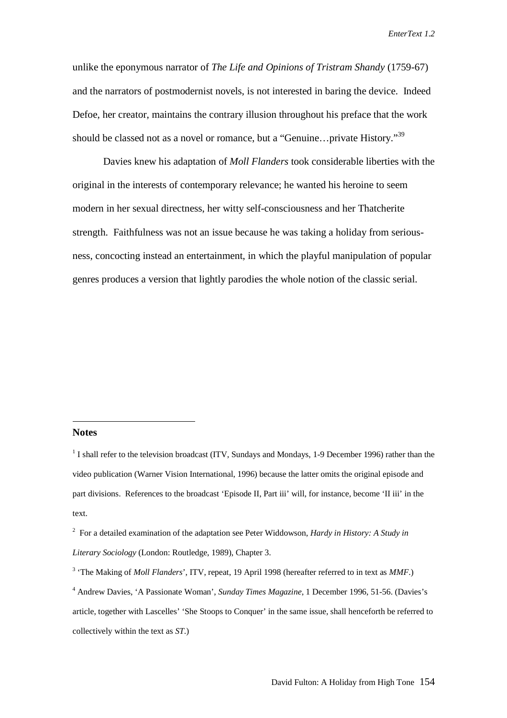unlike the eponymous narrator of *The Life and Opinions of Tristram Shandy* (1759-67) and the narrators of postmodernist novels, is not interested in baring the device. Indeed Defoe, her creator, maintains the contrary illusion throughout his preface that the work should be classed not as a novel or romance, but a "Genuine...private History."<sup>39</sup>

Davies knew his adaptation of *Moll Flanders* took considerable liberties with the original in the interests of contemporary relevance; he wanted his heroine to seem modern in her sexual directness, her witty self-consciousness and her Thatcherite strength. Faithfulness was not an issue because he was taking a holiday from seriousness, concocting instead an entertainment, in which the playful manipulation of popular genres produces a version that lightly parodies the whole notion of the classic serial.

## **Notes**

 $\overline{a}$ 

 $1$  I shall refer to the television broadcast (ITV, Sundays and Mondays, 1-9 December 1996) rather than the video publication (Warner Vision International, 1996) because the latter omits the original episode and part divisions. References to the broadcast 'Episode II, Part iii' will, for instance, become 'II iii' in the text.

<sup>2</sup> For a detailed examination of the adaptation see Peter Widdowson, *Hardy in History: A Study in Literary Sociology* (London: Routledge, 1989), Chapter 3.

<sup>3</sup> 'The Making of *Moll Flanders*', ITV, repeat, 19 April 1998 (hereafter referred to in text as *MMF*.)

<sup>4</sup> Andrew Davies, 'A Passionate Woman', *Sunday Times Magazine*, 1 December 1996, 51-56. (Davies's article, together with Lascelles' 'She Stoops to Conquer' in the same issue, shall henceforth be referred to collectively within the text as *ST*.)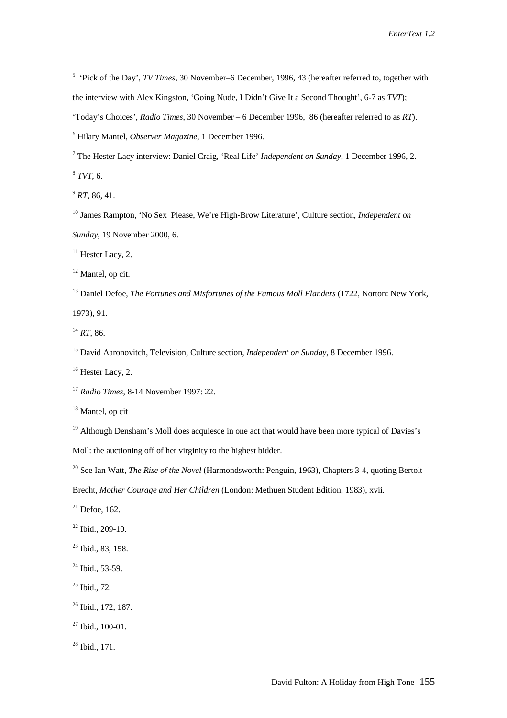5 'Pick of the Day', *TV Times*, 30 November–6 December, 1996, 43 (hereafter referred to, together with the interview with Alex Kingston, 'Going Nude, I Didn't Give It a Second Thought', 6-7 as *TVT*); 'Today's Choices', *Radio Times*, 30 November – 6 December 1996, 86 (hereafter referred to as *RT*).

6 Hilary Mantel, *Observer Magazine*, 1 December 1996.

7 The Hester Lacy interview: Daniel Craig, 'Real Life' *Independent on Sunday*, 1 December 1996, 2.

<sup>8</sup> *TVT*, 6.

 $^{9}$  *RT*, 86, 41.

10 James Rampton, 'No Sex Please, We're High-Brow Literature', Culture section, *Independent on Sunday*, 19 November 2000, 6.

 $11$  Hester Lacy, 2.

 $12$  Mantel, op cit.

13 Daniel Defoe, *The Fortunes and Misfortunes of the Famous Moll Flanders* (1722, Norton: New York,

1973), 91.

<sup>14</sup> *RT,* 86.

15 David Aaronovitch, Television, Culture section, *Independent on Sunday*, 8 December 1996.

 $16$  Hester Lacy, 2.

<sup>17</sup> *Radio Times*, 8-14 November 1997: 22.

<sup>18</sup> Mantel, op cit

<sup>19</sup> Although Densham's Moll does acquiesce in one act that would have been more typical of Davies's

Moll: the auctioning off of her virginity to the highest bidder.

<sup>20</sup> See Ian Watt, *The Rise of the Novel* (Harmondsworth: Penguin, 1963), Chapters 3-4, quoting Bertolt

Brecht, *Mother Courage and Her Children* (London: Methuen Student Edition, 1983), xvii.

 $21$  Defoe, 162.

 $22$  Ibid., 209-10.

<sup>23</sup> Ibid., 83, 158.

 $^{24}$  Ibid., 53-59.

 $25$  Ibid., 72.

<sup>26</sup> Ibid., 172, 187.

 $27$  Ibid., 100-01.

 $28$  Ibid., 171.